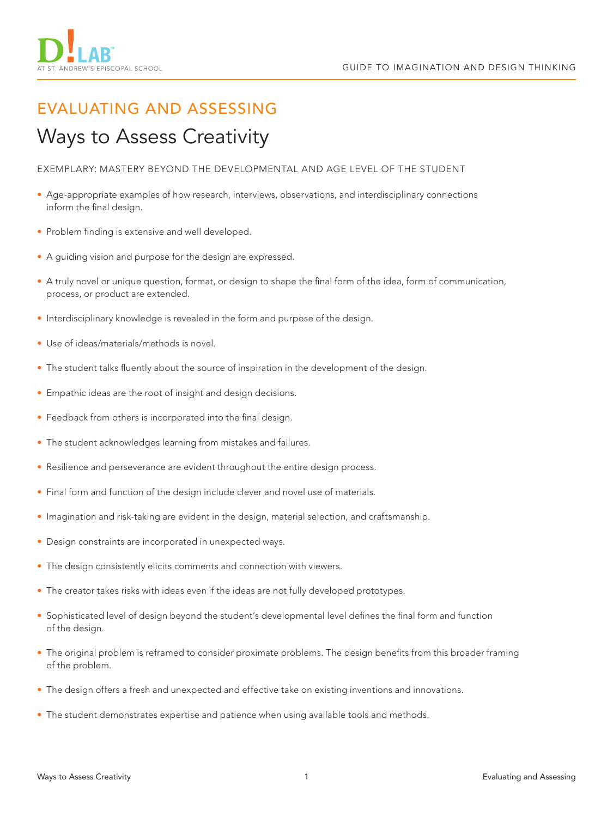

# EVALUATING AND ASSESSING

## Ways to Assess Creativity

EXEMPLARY: MASTERY BEYOND THE DEVELOPMENTAL AND AGE LEVEL OF THE STUDENT

- Age-appropriate examples of how research, interviews, observations, and interdisciplinary connections inform the final design.
- Problem finding is extensive and well developed.
- A guiding vision and purpose for the design are expressed.
- A truly novel or unique question, format, or design to shape the final form of the idea, form of communication, process, or product are extended.
- Interdisciplinary knowledge is revealed in the form and purpose of the design.
- Use of ideas/materials/methods is novel.
- The student talks fluently about the source of inspiration in the development of the design.
- Empathic ideas are the root of insight and design decisions.
- Feedback from others is incorporated into the final design.
- The student acknowledges learning from mistakes and failures.
- Resilience and perseverance are evident throughout the entire design process.
- Final form and function of the design include clever and novel use of materials.
- Imagination and risk-taking are evident in the design, material selection, and craftsmanship.
- Design constraints are incorporated in unexpected ways.
- The design consistently elicits comments and connection with viewers.
- The creator takes risks with ideas even if the ideas are not fully developed prototypes.
- Sophisticated level of design beyond the student's developmental level defines the final form and function of the design.
- The original problem is reframed to consider proximate problems. The design benefits from this broader framing of the problem.
- The design offers a fresh and unexpected and effective take on existing inventions and innovations.
- The student demonstrates expertise and patience when using available tools and methods.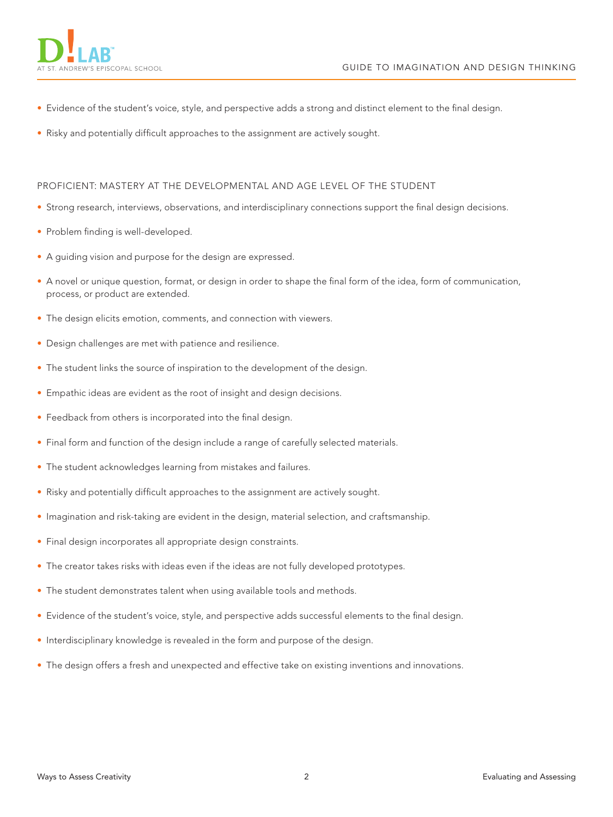- Evidence of the student's voice, style, and perspective adds a strong and distinct element to the final design.
- Risky and potentially difficult approaches to the assignment are actively sought.

### PROFICIENT: MASTERY AT THE DEVELOPMENTAL AND AGE LEVEL OF THE STUDENT

- Strong research, interviews, observations, and interdisciplinary connections support the final design decisions.
- Problem finding is well-developed.
- A guiding vision and purpose for the design are expressed.
- A novel or unique question, format, or design in order to shape the final form of the idea, form of communication, process, or product are extended.
- The design elicits emotion, comments, and connection with viewers.
- Design challenges are met with patience and resilience.
- The student links the source of inspiration to the development of the design.
- Empathic ideas are evident as the root of insight and design decisions.
- Feedback from others is incorporated into the final design.
- Final form and function of the design include a range of carefully selected materials.
- The student acknowledges learning from mistakes and failures.
- Risky and potentially difficult approaches to the assignment are actively sought.
- Imagination and risk-taking are evident in the design, material selection, and craftsmanship.
- Final design incorporates all appropriate design constraints.
- The creator takes risks with ideas even if the ideas are not fully developed prototypes.
- The student demonstrates talent when using available tools and methods.
- Evidence of the student's voice, style, and perspective adds successful elements to the final design.
- Interdisciplinary knowledge is revealed in the form and purpose of the design.
- The design offers a fresh and unexpected and effective take on existing inventions and innovations.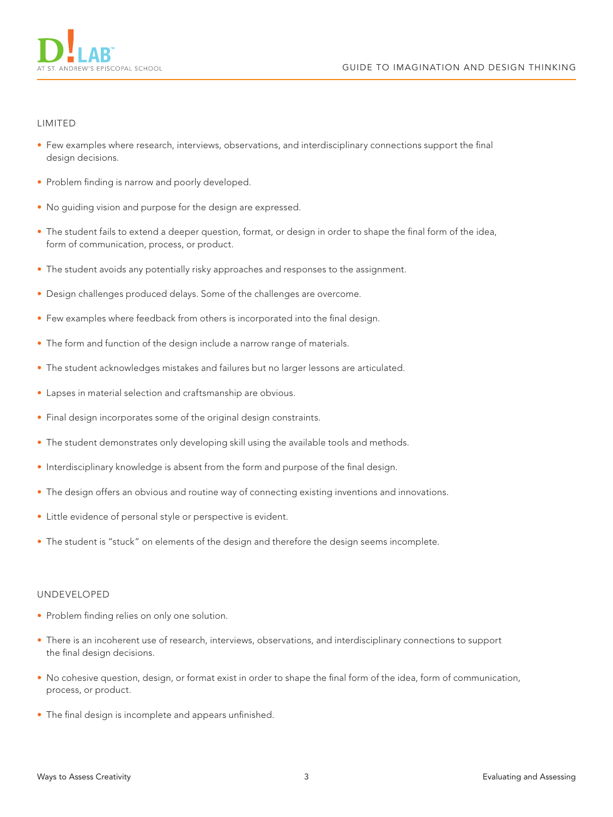

### LIMITED

- Few examples where research, interviews, observations, and interdisciplinary connections support the final design decisions.
- Problem finding is narrow and poorly developed.
- No guiding vision and purpose for the design are expressed.
- The student fails to extend a deeper question, format, or design in order to shape the final form of the idea, form of communication, process, or product.
- The student avoids any potentially risky approaches and responses to the assignment.
- Design challenges produced delays. Some of the challenges are overcome.
- Few examples where feedback from others is incorporated into the final design.
- The form and function of the design include a narrow range of materials.
- The student acknowledges mistakes and failures but no larger lessons are articulated.
- Lapses in material selection and craftsmanship are obvious.
- Final design incorporates some of the original design constraints.
- The student demonstrates only developing skill using the available tools and methods.
- Interdisciplinary knowledge is absent from the form and purpose of the final design.
- The design offers an obvious and routine way of connecting existing inventions and innovations.
- Little evidence of personal style or perspective is evident.
- The student is "stuck" on elements of the design and therefore the design seems incomplete.

#### UNDEVELOPED

- Problem finding relies on only one solution.
- There is an incoherent use of research, interviews, observations, and interdisciplinary connections to support the final design decisions.
- No cohesive question, design, or format exist in order to shape the final form of the idea, form of communication, process, or product.
- The final design is incomplete and appears unfinished.